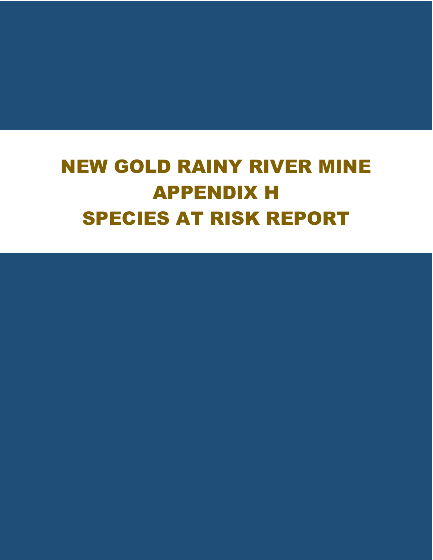## NEW GOLD RAINY RIVER MINE APPENDIX H SPECIES AT RISK REPORT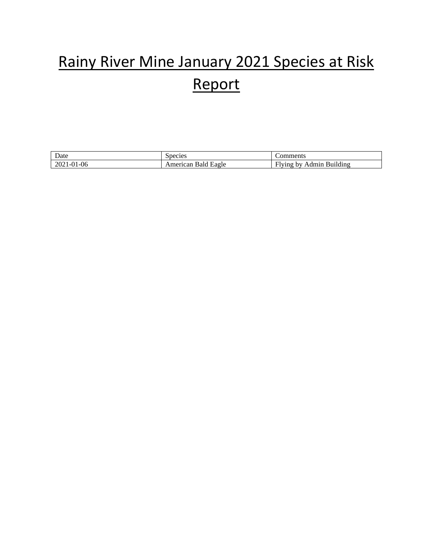#### Rainy River Mine January 2021 Species at Risk Report

| $\overline{\phantom{a}}$<br>Date             | pecies.                 | .                                                                   |
|----------------------------------------------|-------------------------|---------------------------------------------------------------------|
| σr<br>' −∪u<br>$\mathcal{L} \mathbf{U}$<br>. | าerican<br><b>Eagle</b> | $\cdot$<br>$\sim$<br>–<br>dmır.<br>ldino<br>.<br>n v<br>. חמויי<br> |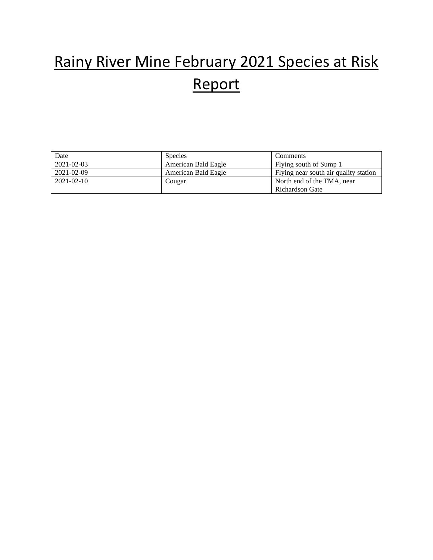#### Rainy River Mine February 2021 Species at Risk Report

| Date             | <b>Species</b>      | Comments                              |
|------------------|---------------------|---------------------------------------|
| 2021-02-03       | American Bald Eagle | Flying south of Sump 1                |
| 2021-02-09       | American Bald Eagle | Flying near south air quality station |
| $2021 - 02 - 10$ | Cougar              | North end of the TMA, near            |
|                  |                     | Richardson Gate                       |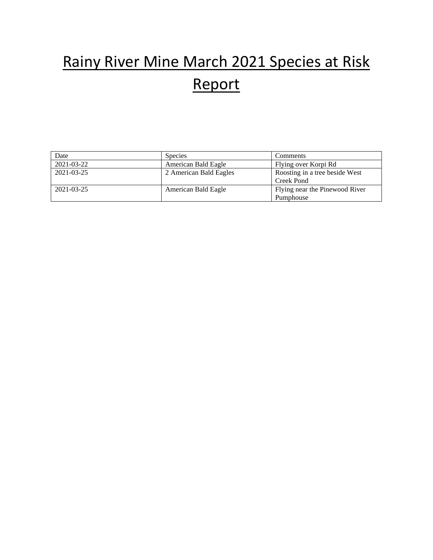### Rainy River Mine March 2021 Species at Risk Report

| Date       | <b>Species</b>         | Comments                       |
|------------|------------------------|--------------------------------|
| 2021-03-22 | American Bald Eagle    | Flying over Korpi Rd           |
| 2021-03-25 | 2 American Bald Eagles | Roosting in a tree beside West |
|            |                        | Creek Pond                     |
| 2021-03-25 | American Bald Eagle    | Flying near the Pinewood River |
|            |                        | Pumphouse                      |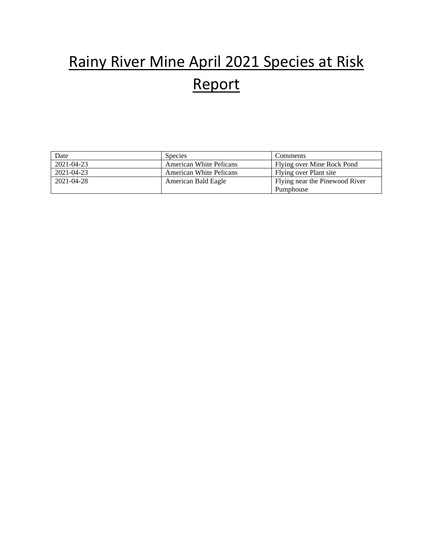### Rainy River Mine April 2021 Species at Risk Report

| Date       | <b>Species</b>                 | Comments                       |
|------------|--------------------------------|--------------------------------|
| 2021-04-23 | <b>American White Pelicans</b> | Flying over Mine Rock Pond     |
| 2021-04-23 | <b>American White Pelicans</b> | Flying over Plant site         |
| 2021-04-28 | American Bald Eagle            | Flying near the Pinewood River |
|            |                                | Pumphouse                      |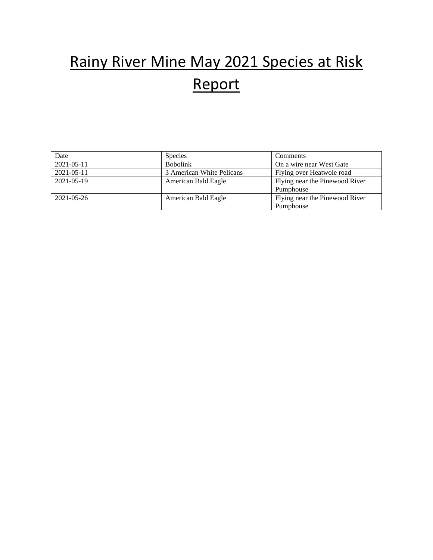### Rainy River Mine May 2021 Species at Risk Report

| Date       | <b>Species</b>            | Comments                       |
|------------|---------------------------|--------------------------------|
| 2021-05-11 | <b>Bobolink</b>           | On a wire near West Gate       |
| 2021-05-11 | 3 American White Pelicans | Flying over Heatwole road      |
| 2021-05-19 | American Bald Eagle       | Flying near the Pinewood River |
|            |                           | Pumphouse                      |
| 2021-05-26 | American Bald Eagle       | Flying near the Pinewood River |
|            |                           | Pumphouse                      |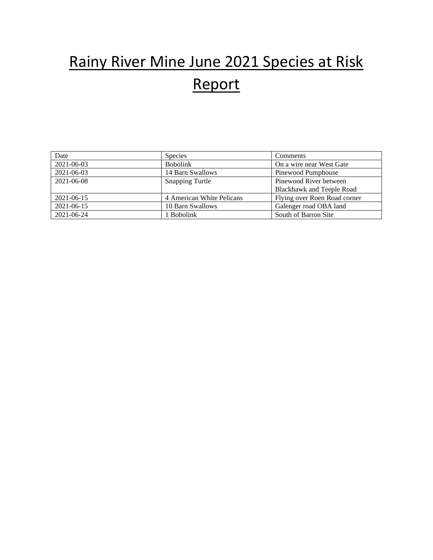#### Rainy River Mine June 2021 Species at Risk Report

| Date       | <b>Species</b>            | Comments                     |
|------------|---------------------------|------------------------------|
| 2021-06-03 | <b>Bobolink</b>           | On a wire near West Gate     |
| 2021-06-03 | 14 Barn Swallows          | Pinewood Pumphouse           |
| 2021-06-08 | <b>Snapping Turtle</b>    | Pinewood River between       |
|            |                           | Blackhawk and Teeple Road    |
| 2021-06-15 | 4 American White Pelicans | Flying over Roen Road corner |
| 2021-06-15 | 10 Barn Swallows          | Galenger road OBA land       |
| 2021-06-24 | 1 Bobolink                | South of Barron Site         |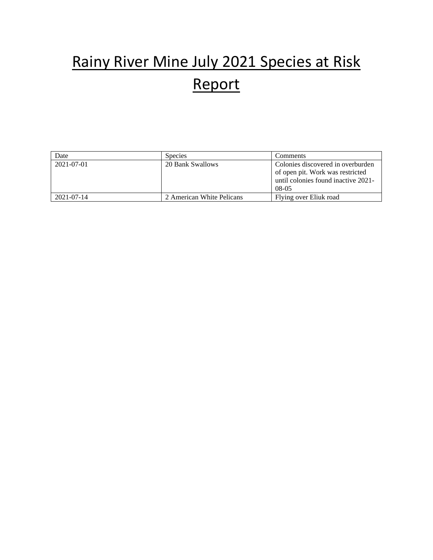### Rainy River Mine July 2021 Species at Risk Report

| Date       | <b>Species</b>            | Comments                            |
|------------|---------------------------|-------------------------------------|
| 2021-07-01 | 20 Bank Swallows          | Colonies discovered in overburden   |
|            |                           | of open pit. Work was restricted    |
|            |                           | until colonies found inactive 2021- |
|            |                           | $08-05$                             |
| 2021-07-14 | 2 American White Pelicans | Flying over Eliuk road              |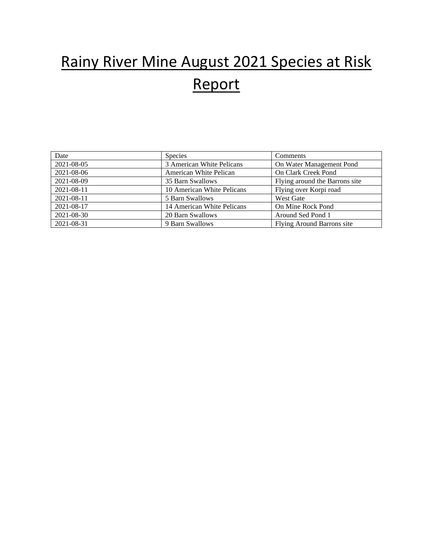#### Rainy River Mine August 2021 Species at Risk Report

| Date       | <b>Species</b>             | Comments                       |
|------------|----------------------------|--------------------------------|
| 2021-08-05 | 3 American White Pelicans  | On Water Management Pond       |
| 2021-08-06 | American White Pelican     | On Clark Creek Pond            |
| 2021-08-09 | 35 Barn Swallows           | Flying around the Barrons site |
| 2021-08-11 | 10 American White Pelicans | Flying over Korpi road         |
| 2021-08-11 | 5 Barn Swallows            | <b>West Gate</b>               |
| 2021-08-17 | 14 American White Pelicans | On Mine Rock Pond              |
| 2021-08-30 | 20 Barn Swallows           | Around Sed Pond 1              |
| 2021-08-31 | 9 Barn Swallows            | Flying Around Barrons site     |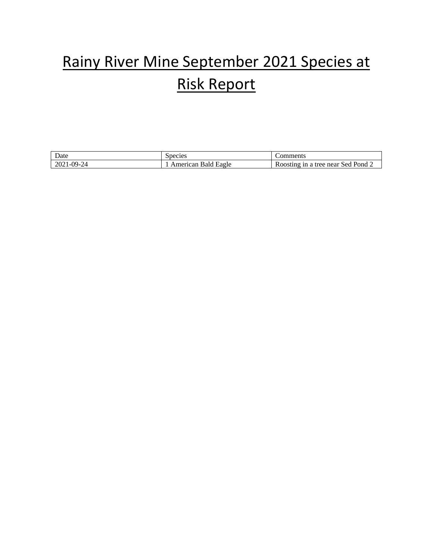#### Rainy River Mine September 2021 Species at Risk Report

| $\sim$<br>Date           | pecies                        | $\sim$ Commerci<br>ments                                  |
|--------------------------|-------------------------------|-----------------------------------------------------------|
| $99-24$<br>$\Delta$<br>. | mer,<br>Lagle<br>≧ean<br>Bald | $\text{Pond}_{\mathcal{L}}$<br>near<br>sed<br>tree<br>ารเ |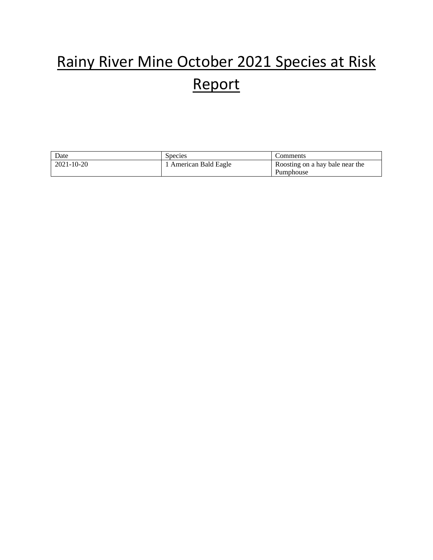### Rainy River Mine October 2021 Species at Risk Report

| Date       | <b>Species</b>      | Comments                        |
|------------|---------------------|---------------------------------|
| 2021-10-20 | American Bald Eagle | Roosting on a hay bale near the |
|            |                     | Pumphouse                       |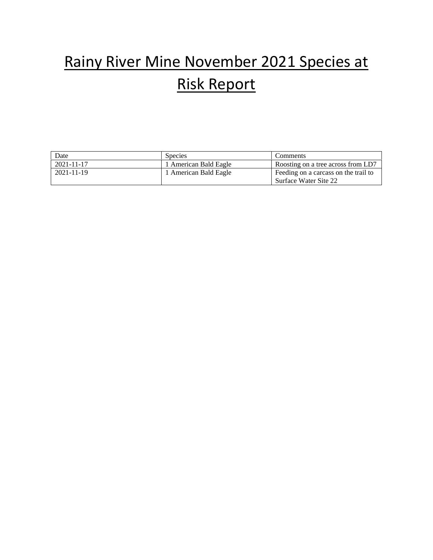#### Rainy River Mine November 2021 Species at Risk Report

| Date       | <b>Species</b>        | Comments                             |
|------------|-----------------------|--------------------------------------|
| 2021-11-17 | 1 American Bald Eagle | Roosting on a tree across from LD7   |
| 2021-11-19 | 1 American Bald Eagle | Feeding on a carcass on the trail to |
|            |                       | Surface Water Site 22                |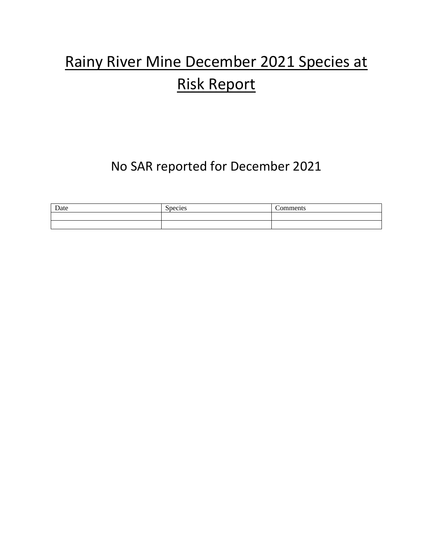#### Rainy River Mine December 2021 Species at Risk Report

#### No SAR reported for December 2021

| Date | $\sim$<br>Species | -<br>'omments |
|------|-------------------|---------------|
|      |                   |               |
|      |                   |               |